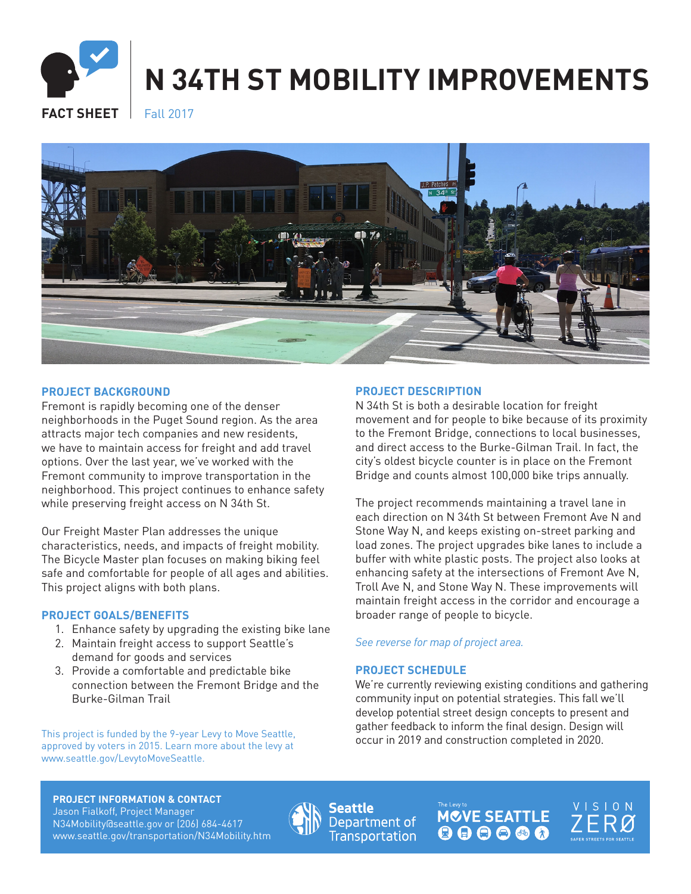# **N 34TH ST MOBILITY IMPROVEMENTS**

**FACT SHEET** Fall 2017



### **PROJECT BACKGROUND**

Fremont is rapidly becoming one of the denser neighborhoods in the Puget Sound region. As the area attracts major tech companies and new residents, we have to maintain access for freight and add travel options. Over the last year, we've worked with the Fremont community to improve transportation in the neighborhood. This project continues to enhance safety while preserving freight access on N 34th St.

Our Freight Master Plan addresses the unique characteristics, needs, and impacts of freight mobility. The Bicycle Master plan focuses on making biking feel safe and comfortable for people of all ages and abilities. This project aligns with both plans.

#### **PROJECT GOALS/BENEFITS**

- 1. Enhance safety by upgrading the existing bike lane
- 2. Maintain freight access to support Seattle's demand for goods and services
- 3. Provide a comfortable and predictable bike connection between the Fremont Bridge and the Burke-Gilman Trail

This project is funded by the 9-year Levy to Move Seattle,<br>This project is funded by the 9-year Levy to Move Seattle,<br>
occur in 2019 and construction completed in 2020. approved by voters in 2015. Learn more about the levy at www.seattle.gov/LevytoMoveSeattle.

#### **PROJECT DESCRIPTION**

N 34th St is both a desirable location for freight movement and for people to bike because of its proximity to the Fremont Bridge, connections to local businesses, and direct access to the Burke-Gilman Trail. In fact, the city's oldest bicycle counter is in place on the Fremont Bridge and counts almost 100,000 bike trips annually.

The project recommends maintaining a travel lane in each direction on N 34th St between Fremont Ave N and Stone Way N, and keeps existing on-street parking and load zones. The project upgrades bike lanes to include a buffer with white plastic posts. The project also looks at enhancing safety at the intersections of Fremont Ave N, Troll Ave N, and Stone Way N. These improvements will maintain freight access in the corridor and encourage a broader range of people to bicycle.

#### *See reverse for map of project area.*

## **PROJECT SCHEDULE**

We're currently reviewing existing conditions and gathering community input on potential strategies. This fall we'll develop potential street design concepts to present and gather feedback to inform the final design. Design will

**PROJECT INFORMATION & CONTACT** Jason Fialkoff, Project Manager N34Mobility@seattle.gov or (206) 684-4617 www.seattle.gov/transportation/N34Mobility.htm



Seattle Department of **Transportation**  **MOVE SEATTLE** 000000

**VISION**